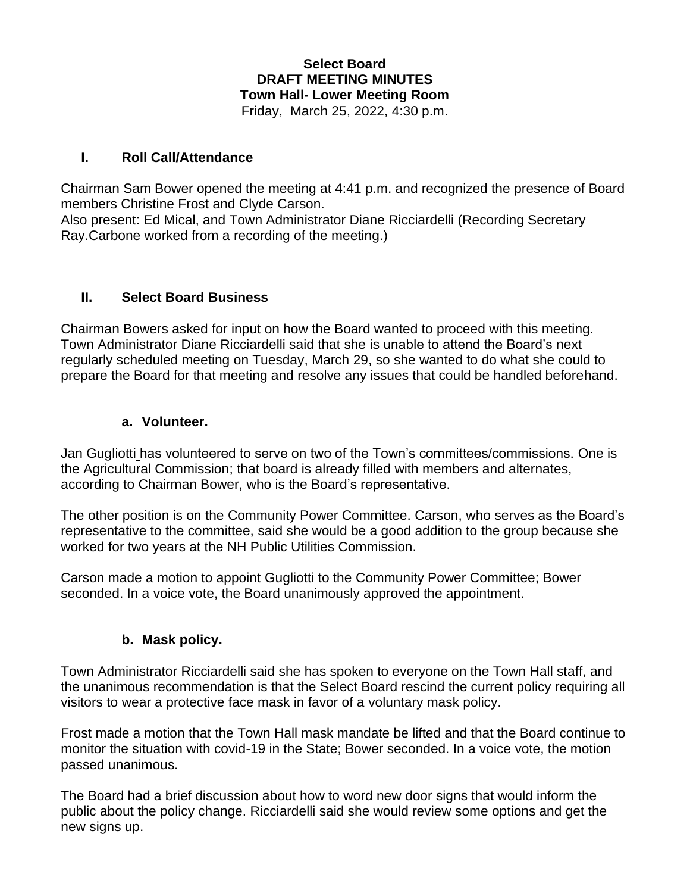#### **Select Board DRAFT MEETING MINUTES Town Hall- Lower Meeting Room** Friday, March 25, 2022, 4:30 p.m.

#### **I. Roll Call/Attendance**

Chairman Sam Bower opened the meeting at 4:41 p.m. and recognized the presence of Board members Christine Frost and Clyde Carson.

Also present: Ed Mical, and Town Administrator Diane Ricciardelli (Recording Secretary Ray.Carbone worked from a recording of the meeting.)

#### **II. Select Board Business**

Chairman Bowers asked for input on how the Board wanted to proceed with this meeting. Town Administrator Diane Ricciardelli said that she is unable to attend the Board's next regularly scheduled meeting on Tuesday, March 29, so she wanted to do what she could to prepare the Board for that meeting and resolve any issues that could be handled beforehand.

#### **a. Volunteer.**

Jan Gugliotti has volunteered to serve on two of the Town's committees/commissions. One is the Agricultural Commission; that board is already filled with members and alternates, according to Chairman Bower, who is the Board's representative.

The other position is on the Community Power Committee. Carson, who serves as the Board's representative to the committee, said she would be a good addition to the group because she worked for two years at the NH Public Utilities Commission.

Carson made a motion to appoint Gugliotti to the Community Power Committee; Bower seconded. In a voice vote, the Board unanimously approved the appointment.

#### **b. Mask policy.**

Town Administrator Ricciardelli said she has spoken to everyone on the Town Hall staff, and the unanimous recommendation is that the Select Board rescind the current policy requiring all visitors to wear a protective face mask in favor of a voluntary mask policy.

Frost made a motion that the Town Hall mask mandate be lifted and that the Board continue to monitor the situation with covid-19 in the State; Bower seconded. In a voice vote, the motion passed unanimous.

The Board had a brief discussion about how to word new door signs that would inform the public about the policy change. Ricciardelli said she would review some options and get the new signs up.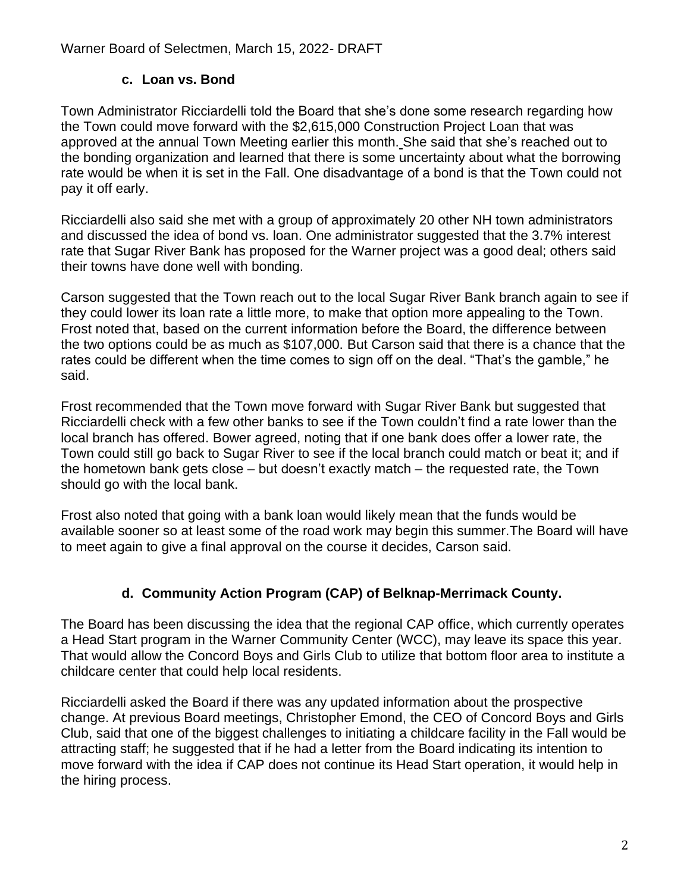### **c. Loan vs. Bond**

Town Administrator Ricciardelli told the Board that she's done some research regarding how the Town could move forward with the \$2,615,000 Construction Project Loan that was approved at the annual Town Meeting earlier this month. She said that she's reached out to the bonding organization and learned that there is some uncertainty about what the borrowing rate would be when it is set in the Fall. One disadvantage of a bond is that the Town could not pay it off early.

Ricciardelli also said she met with a group of approximately 20 other NH town administrators and discussed the idea of bond vs. loan. One administrator suggested that the 3.7% interest rate that Sugar River Bank has proposed for the Warner project was a good deal; others said their towns have done well with bonding.

Carson suggested that the Town reach out to the local Sugar River Bank branch again to see if they could lower its loan rate a little more, to make that option more appealing to the Town. Frost noted that, based on the current information before the Board, the difference between the two options could be as much as \$107,000. But Carson said that there is a chance that the rates could be different when the time comes to sign off on the deal. "That's the gamble," he said.

Frost recommended that the Town move forward with Sugar River Bank but suggested that Ricciardelli check with a few other banks to see if the Town couldn't find a rate lower than the local branch has offered. Bower agreed, noting that if one bank does offer a lower rate, the Town could still go back to Sugar River to see if the local branch could match or beat it; and if the hometown bank gets close – but doesn't exactly match – the requested rate, the Town should go with the local bank.

Frost also noted that going with a bank loan would likely mean that the funds would be available sooner so at least some of the road work may begin this summer.The Board will have to meet again to give a final approval on the course it decides, Carson said.

# **d. Community Action Program (CAP) of Belknap-Merrimack County.**

The Board has been discussing the idea that the regional CAP office, which currently operates a Head Start program in the Warner Community Center (WCC), may leave its space this year. That would allow the Concord Boys and Girls Club to utilize that bottom floor area to institute a childcare center that could help local residents.

Ricciardelli asked the Board if there was any updated information about the prospective change. At previous Board meetings, Christopher Emond, the CEO of Concord Boys and Girls Club, said that one of the biggest challenges to initiating a childcare facility in the Fall would be attracting staff; he suggested that if he had a letter from the Board indicating its intention to move forward with the idea if CAP does not continue its Head Start operation, it would help in the hiring process.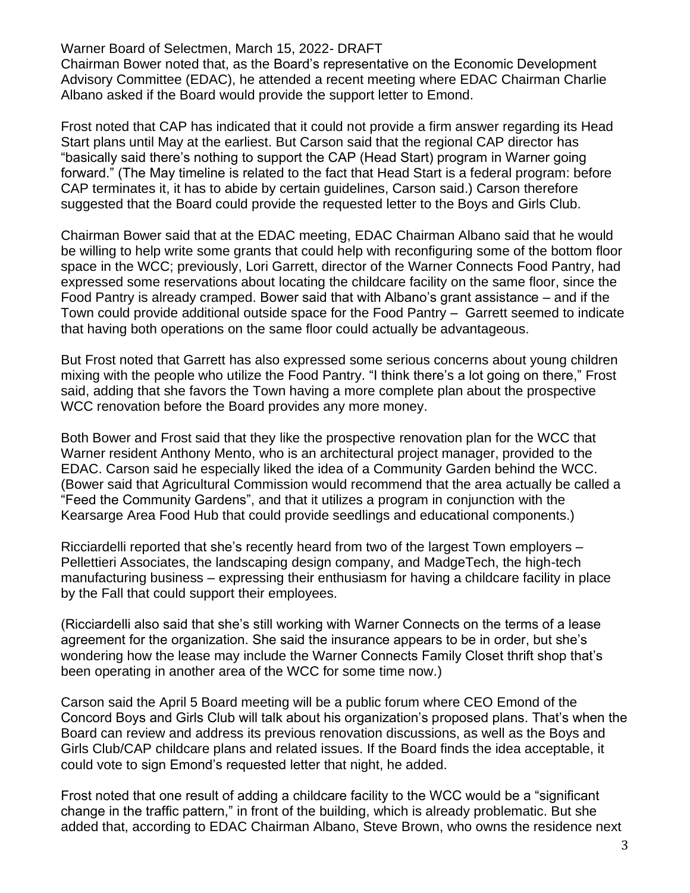Chairman Bower noted that, as the Board's representative on the Economic Development Advisory Committee (EDAC), he attended a recent meeting where EDAC Chairman Charlie Albano asked if the Board would provide the support letter to Emond.

Frost noted that CAP has indicated that it could not provide a firm answer regarding its Head Start plans until May at the earliest. But Carson said that the regional CAP director has "basically said there's nothing to support the CAP (Head Start) program in Warner going forward." (The May timeline is related to the fact that Head Start is a federal program: before CAP terminates it, it has to abide by certain guidelines, Carson said.) Carson therefore suggested that the Board could provide the requested letter to the Boys and Girls Club.

Chairman Bower said that at the EDAC meeting, EDAC Chairman Albano said that he would be willing to help write some grants that could help with reconfiguring some of the bottom floor space in the WCC; previously, Lori Garrett, director of the Warner Connects Food Pantry, had expressed some reservations about locating the childcare facility on the same floor, since the Food Pantry is already cramped. Bower said that with Albano's grant assistance – and if the Town could provide additional outside space for the Food Pantry – Garrett seemed to indicate that having both operations on the same floor could actually be advantageous.

But Frost noted that Garrett has also expressed some serious concerns about young children mixing with the people who utilize the Food Pantry. "I think there's a lot going on there," Frost said, adding that she favors the Town having a more complete plan about the prospective WCC renovation before the Board provides any more money.

Both Bower and Frost said that they like the prospective renovation plan for the WCC that Warner resident Anthony Mento, who is an architectural project manager, provided to the EDAC. Carson said he especially liked the idea of a Community Garden behind the WCC. (Bower said that Agricultural Commission would recommend that the area actually be called a "Feed the Community Gardens", and that it utilizes a program in conjunction with the Kearsarge Area Food Hub that could provide seedlings and educational components.)

Ricciardelli reported that she's recently heard from two of the largest Town employers – Pellettieri Associates, the landscaping design company, and MadgeTech, the high-tech manufacturing business – expressing their enthusiasm for having a childcare facility in place by the Fall that could support their employees.

(Ricciardelli also said that she's still working with Warner Connects on the terms of a lease agreement for the organization. She said the insurance appears to be in order, but she's wondering how the lease may include the Warner Connects Family Closet thrift shop that's been operating in another area of the WCC for some time now.)

Carson said the April 5 Board meeting will be a public forum where CEO Emond of the Concord Boys and Girls Club will talk about his organization's proposed plans. That's when the Board can review and address its previous renovation discussions, as well as the Boys and Girls Club/CAP childcare plans and related issues. If the Board finds the idea acceptable, it could vote to sign Emond's requested letter that night, he added.

Frost noted that one result of adding a childcare facility to the WCC would be a "significant change in the traffic pattern," in front of the building, which is already problematic. But she added that, according to EDAC Chairman Albano, Steve Brown, who owns the residence next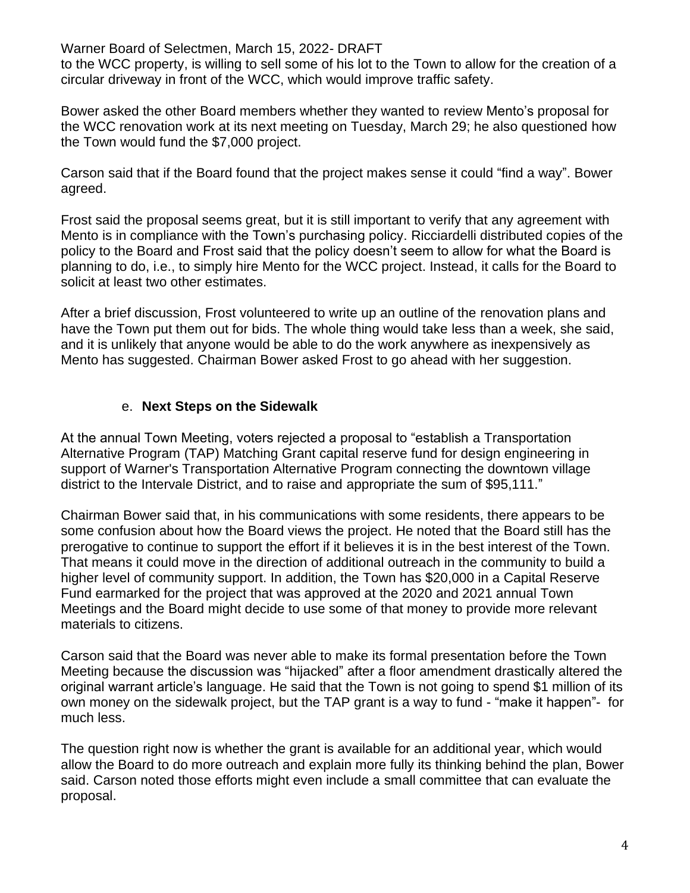to the WCC property, is willing to sell some of his lot to the Town to allow for the creation of a circular driveway in front of the WCC, which would improve traffic safety.

Bower asked the other Board members whether they wanted to review Mento's proposal for the WCC renovation work at its next meeting on Tuesday, March 29; he also questioned how the Town would fund the \$7,000 project.

Carson said that if the Board found that the project makes sense it could "find a way". Bower agreed.

Frost said the proposal seems great, but it is still important to verify that any agreement with Mento is in compliance with the Town's purchasing policy. Ricciardelli distributed copies of the policy to the Board and Frost said that the policy doesn't seem to allow for what the Board is planning to do, i.e., to simply hire Mento for the WCC project. Instead, it calls for the Board to solicit at least two other estimates.

After a brief discussion, Frost volunteered to write up an outline of the renovation plans and have the Town put them out for bids. The whole thing would take less than a week, she said, and it is unlikely that anyone would be able to do the work anywhere as inexpensively as Mento has suggested. Chairman Bower asked Frost to go ahead with her suggestion.

### e. **Next Steps on the Sidewalk**

At the annual Town Meeting, voters rejected a proposal to "establish a Transportation Alternative Program (TAP) Matching Grant capital reserve fund for design engineering in support of Warner's Transportation Alternative Program connecting the downtown village district to the Intervale District, and to raise and appropriate the sum of \$95,111."

Chairman Bower said that, in his communications with some residents, there appears to be some confusion about how the Board views the project. He noted that the Board still has the prerogative to continue to support the effort if it believes it is in the best interest of the Town. That means it could move in the direction of additional outreach in the community to build a higher level of community support. In addition, the Town has \$20,000 in a Capital Reserve Fund earmarked for the project that was approved at the 2020 and 2021 annual Town Meetings and the Board might decide to use some of that money to provide more relevant materials to citizens.

Carson said that the Board was never able to make its formal presentation before the Town Meeting because the discussion was "hijacked" after a floor amendment drastically altered the original warrant article's language. He said that the Town is not going to spend \$1 million of its own money on the sidewalk project, but the TAP grant is a way to fund - "make it happen"- for much less.

The question right now is whether the grant is available for an additional year, which would allow the Board to do more outreach and explain more fully its thinking behind the plan, Bower said. Carson noted those efforts might even include a small committee that can evaluate the proposal.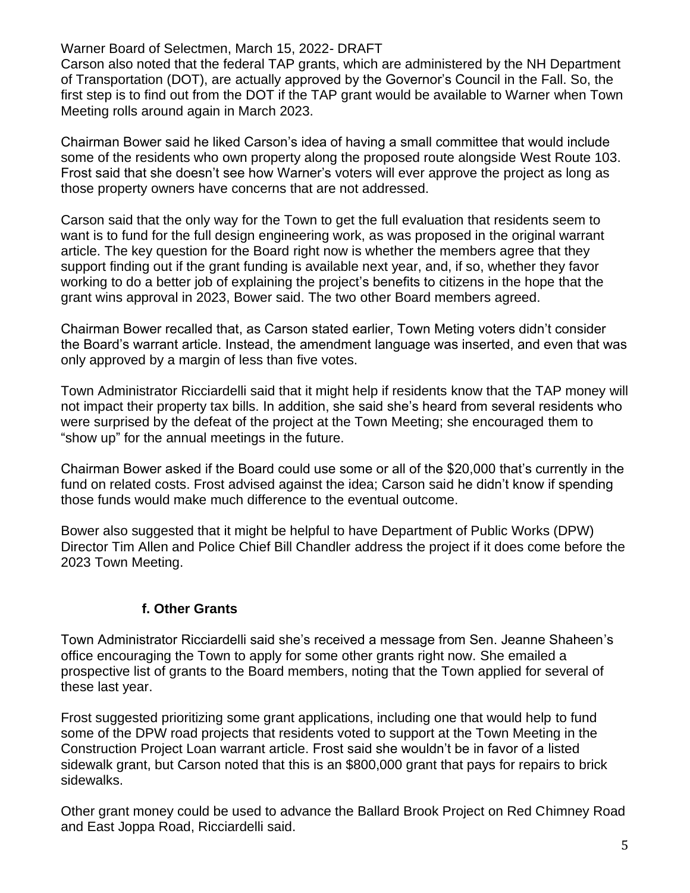Carson also noted that the federal TAP grants, which are administered by the NH Department of Transportation (DOT), are actually approved by the Governor's Council in the Fall. So, the first step is to find out from the DOT if the TAP grant would be available to Warner when Town Meeting rolls around again in March 2023.

Chairman Bower said he liked Carson's idea of having a small committee that would include some of the residents who own property along the proposed route alongside West Route 103. Frost said that she doesn't see how Warner's voters will ever approve the project as long as those property owners have concerns that are not addressed.

Carson said that the only way for the Town to get the full evaluation that residents seem to want is to fund for the full design engineering work, as was proposed in the original warrant article. The key question for the Board right now is whether the members agree that they support finding out if the grant funding is available next year, and, if so, whether they favor working to do a better job of explaining the project's benefits to citizens in the hope that the grant wins approval in 2023, Bower said. The two other Board members agreed.

Chairman Bower recalled that, as Carson stated earlier, Town Meting voters didn't consider the Board's warrant article. Instead, the amendment language was inserted, and even that was only approved by a margin of less than five votes.

Town Administrator Ricciardelli said that it might help if residents know that the TAP money will not impact their property tax bills. In addition, she said she's heard from several residents who were surprised by the defeat of the project at the Town Meeting; she encouraged them to "show up" for the annual meetings in the future.

Chairman Bower asked if the Board could use some or all of the \$20,000 that's currently in the fund on related costs. Frost advised against the idea; Carson said he didn't know if spending those funds would make much difference to the eventual outcome.

Bower also suggested that it might be helpful to have Department of Public Works (DPW) Director Tim Allen and Police Chief Bill Chandler address the project if it does come before the 2023 Town Meeting.

### **f. Other Grants**

Town Administrator Ricciardelli said she's received a message from Sen. Jeanne Shaheen's office encouraging the Town to apply for some other grants right now. She emailed a prospective list of grants to the Board members, noting that the Town applied for several of these last year.

Frost suggested prioritizing some grant applications, including one that would help to fund some of the DPW road projects that residents voted to support at the Town Meeting in the Construction Project Loan warrant article. Frost said she wouldn't be in favor of a listed sidewalk grant, but Carson noted that this is an \$800,000 grant that pays for repairs to brick sidewalks.

Other grant money could be used to advance the Ballard Brook Project on Red Chimney Road and East Joppa Road, Ricciardelli said.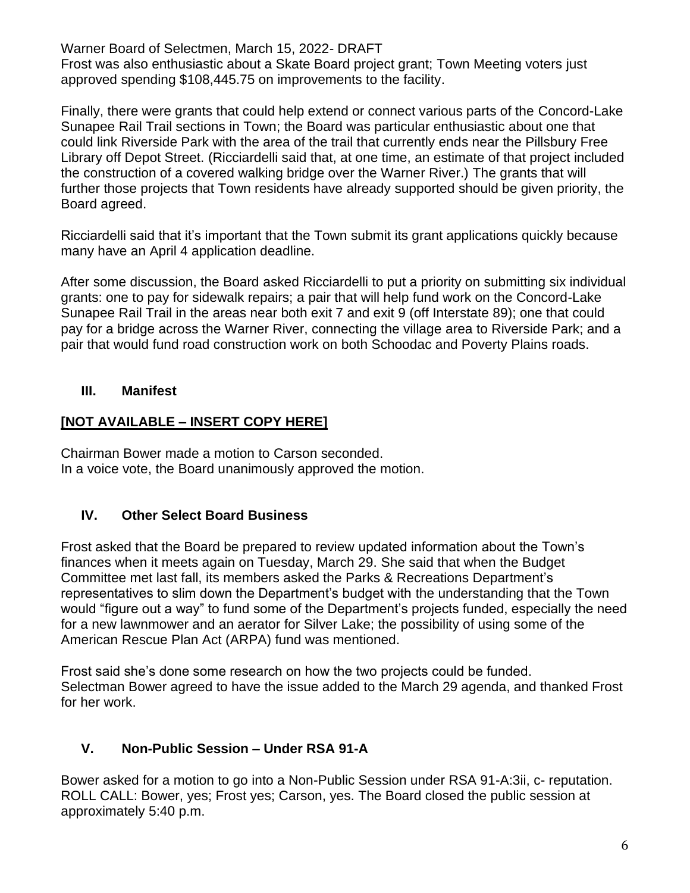Frost was also enthusiastic about a Skate Board project grant; Town Meeting voters just approved spending \$108,445.75 on improvements to the facility.

Finally, there were grants that could help extend or connect various parts of the Concord-Lake Sunapee Rail Trail sections in Town; the Board was particular enthusiastic about one that could link Riverside Park with the area of the trail that currently ends near the Pillsbury Free Library off Depot Street. (Ricciardelli said that, at one time, an estimate of that project included the construction of a covered walking bridge over the Warner River.) The grants that will further those projects that Town residents have already supported should be given priority, the Board agreed.

Ricciardelli said that it's important that the Town submit its grant applications quickly because many have an April 4 application deadline.

After some discussion, the Board asked Ricciardelli to put a priority on submitting six individual grants: one to pay for sidewalk repairs; a pair that will help fund work on the Concord-Lake Sunapee Rail Trail in the areas near both exit 7 and exit 9 (off Interstate 89); one that could pay for a bridge across the Warner River, connecting the village area to Riverside Park; and a pair that would fund road construction work on both Schoodac and Poverty Plains roads.

## **III. Manifest**

# **[NOT AVAILABLE – INSERT COPY HERE]**

Chairman Bower made a motion to Carson seconded. In a voice vote, the Board unanimously approved the motion.

# **IV. Other Select Board Business**

Frost asked that the Board be prepared to review updated information about the Town's finances when it meets again on Tuesday, March 29. She said that when the Budget Committee met last fall, its members asked the Parks & Recreations Department's representatives to slim down the Department's budget with the understanding that the Town would "figure out a way" to fund some of the Department's projects funded, especially the need for a new lawnmower and an aerator for Silver Lake; the possibility of using some of the American Rescue Plan Act (ARPA) fund was mentioned.

Frost said she's done some research on how the two projects could be funded. Selectman Bower agreed to have the issue added to the March 29 agenda, and thanked Frost for her work.

# **V. Non-Public Session – Under RSA 91-A**

Bower asked for a motion to go into a Non-Public Session under RSA 91-A:3ii, c- reputation. ROLL CALL: Bower, yes; Frost yes; Carson, yes. The Board closed the public session at approximately 5:40 p.m.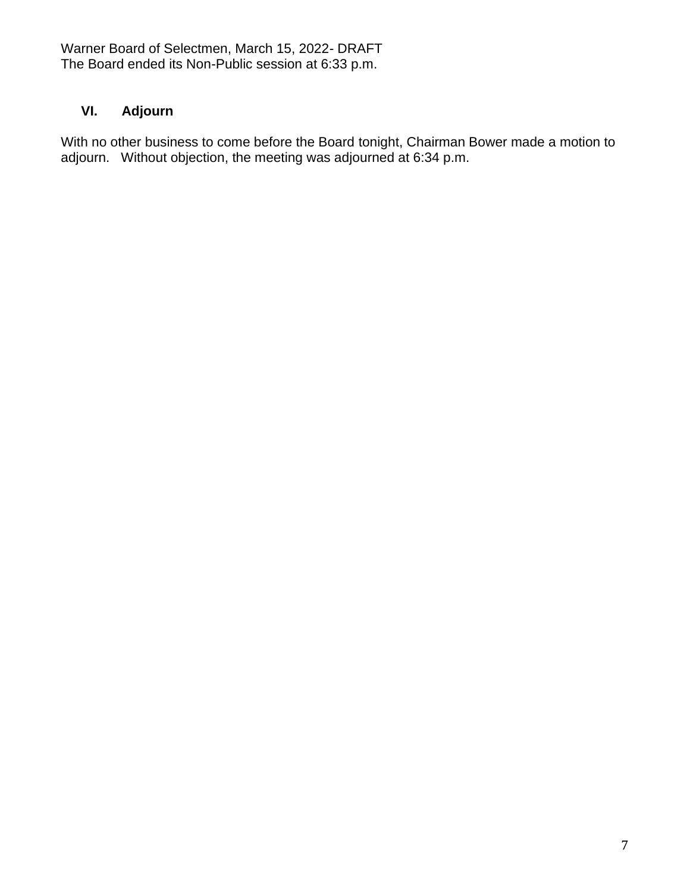Warner Board of Selectmen, March 15, 2022- DRAFT The Board ended its Non-Public session at 6:33 p.m.

# **VI. Adjourn**

With no other business to come before the Board tonight, Chairman Bower made a motion to adjourn. Without objection, the meeting was adjourned at 6:34 p.m.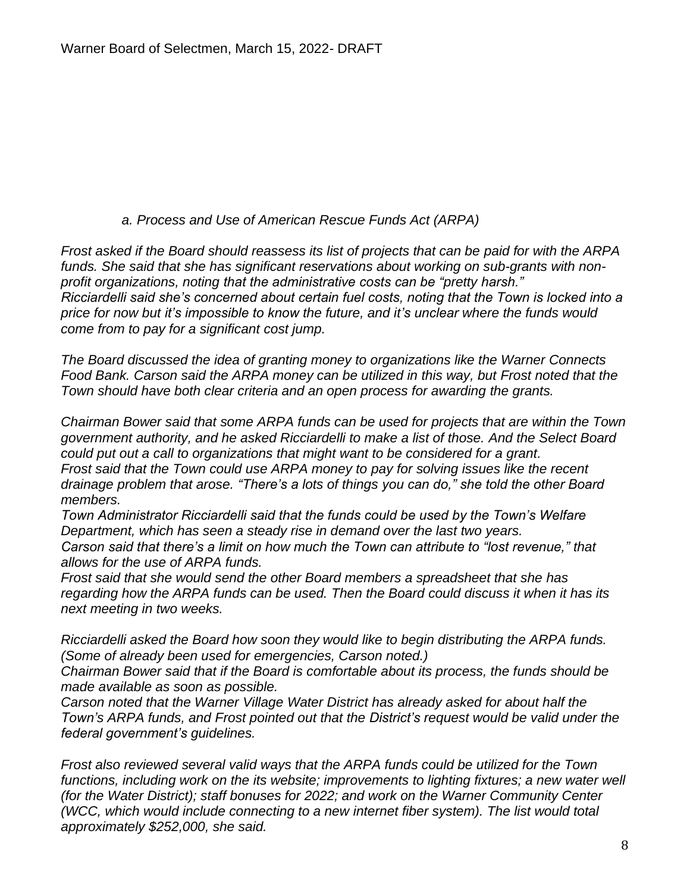#### *a. Process and Use of American Rescue Funds Act (ARPA)*

*Frost asked if the Board should reassess its list of projects that can be paid for with the ARPA funds. She said that she has significant reservations about working on sub-grants with nonprofit organizations, noting that the administrative costs can be "pretty harsh." Ricciardelli said she's concerned about certain fuel costs, noting that the Town is locked into a price for now but it's impossible to know the future, and it's unclear where the funds would come from to pay for a significant cost jump.*

*The Board discussed the idea of granting money to organizations like the Warner Connects Food Bank. Carson said the ARPA money can be utilized in this way, but Frost noted that the Town should have both clear criteria and an open process for awarding the grants.*

*Chairman Bower said that some ARPA funds can be used for projects that are within the Town government authority, and he asked Ricciardelli to make a list of those. And the Select Board could put out a call to organizations that might want to be considered for a grant. Frost said that the Town could use ARPA money to pay for solving issues like the recent drainage problem that arose. "There's a lots of things you can do," she told the other Board members.*

*Town Administrator Ricciardelli said that the funds could be used by the Town's Welfare Department, which has seen a steady rise in demand over the last two years. Carson said that there's a limit on how much the Town can attribute to "lost revenue," that allows for the use of ARPA funds.*

*Frost said that she would send the other Board members a spreadsheet that she has regarding how the ARPA funds can be used. Then the Board could discuss it when it has its next meeting in two weeks.*

*Ricciardelli asked the Board how soon they would like to begin distributing the ARPA funds. (Some of already been used for emergencies, Carson noted.)*

*Chairman Bower said that if the Board is comfortable about its process, the funds should be made available as soon as possible.*

*Carson noted that the Warner Village Water District has already asked for about half the Town's ARPA funds, and Frost pointed out that the District's request would be valid under the federal government's guidelines.*

*Frost also reviewed several valid ways that the ARPA funds could be utilized for the Town*  functions, including work on the its website; improvements to lighting fixtures; a new water well *(for the Water District); staff bonuses for 2022; and work on the Warner Community Center (WCC, which would include connecting to a new internet fiber system). The list would total approximately \$252,000, she said.*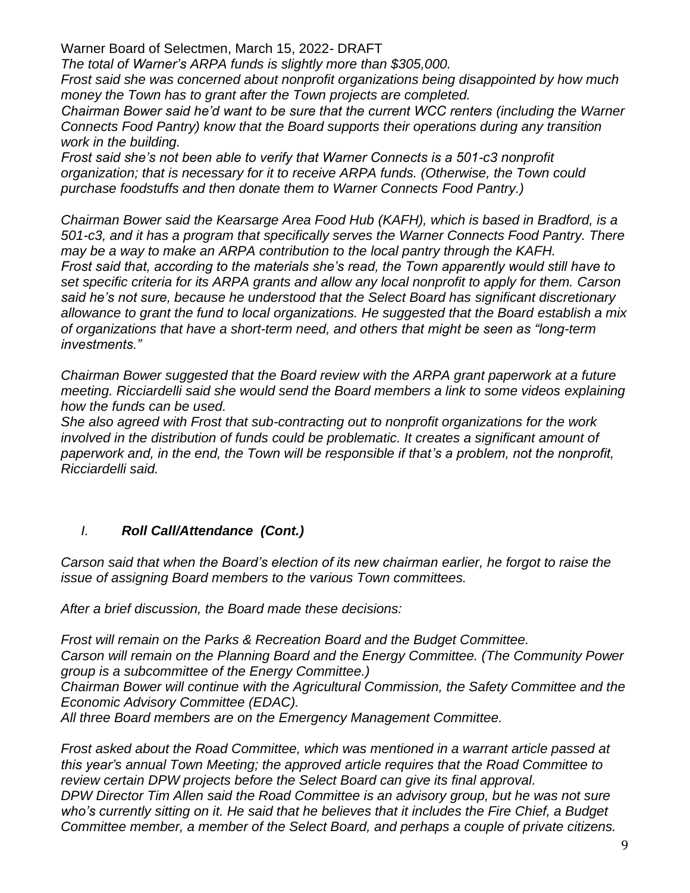*The total of Warner's ARPA funds is slightly more than \$305,000.*

*Frost said she was concerned about nonprofit organizations being disappointed by how much money the Town has to grant after the Town projects are completed.* 

*Chairman Bower said he'd want to be sure that the current WCC renters (including the Warner Connects Food Pantry) know that the Board supports their operations during any transition work in the building.*

*Frost said she's not been able to verify that Warner Connects is a 501-c3 nonprofit organization; that is necessary for it to receive ARPA funds. (Otherwise, the Town could purchase foodstuffs and then donate them to Warner Connects Food Pantry.)*

*Chairman Bower said the Kearsarge Area Food Hub (KAFH), which is based in Bradford, is a 501-c3, and it has a program that specifically serves the Warner Connects Food Pantry. There may be a way to make an ARPA contribution to the local pantry through the KAFH. Frost said that, according to the materials she's read, the Town apparently would still have to set specific criteria for its ARPA grants and allow any local nonprofit to apply for them. Carson said he's not sure, because he understood that the Select Board has significant discretionary allowance to grant the fund to local organizations. He suggested that the Board establish a mix of organizations that have a short-term need, and others that might be seen as "long-term investments."*

*Chairman Bower suggested that the Board review with the ARPA grant paperwork at a future meeting. Ricciardelli said she would send the Board members a link to some videos explaining how the funds can be used.*

*She also agreed with Frost that sub-contracting out to nonprofit organizations for the work involved in the distribution of funds could be problematic. It creates a significant amount of paperwork and, in the end, the Town will be responsible if that's a problem, not the nonprofit, Ricciardelli said.*

# *I. Roll Call/Attendance (Cont.)*

*Carson said that when the Board's election of its new chairman earlier, he forgot to raise the issue of assigning Board members to the various Town committees.*

*After a brief discussion, the Board made these decisions:*

*Frost will remain on the Parks & Recreation Board and the Budget Committee. Carson will remain on the Planning Board and the Energy Committee. (The Community Power group is a subcommittee of the Energy Committee.)*

*Chairman Bower will continue with the Agricultural Commission, the Safety Committee and the Economic Advisory Committee (EDAC).* 

*All three Board members are on the Emergency Management Committee.*

*Frost asked about the Road Committee, which was mentioned in a warrant article passed at this year's annual Town Meeting; the approved article requires that the Road Committee to review certain DPW projects before the Select Board can give its final approval. DPW Director Tim Allen said the Road Committee is an advisory group, but he was not sure* 

*who's currently sitting on it. He said that he believes that it includes the Fire Chief, a Budget Committee member, a member of the Select Board, and perhaps a couple of private citizens.*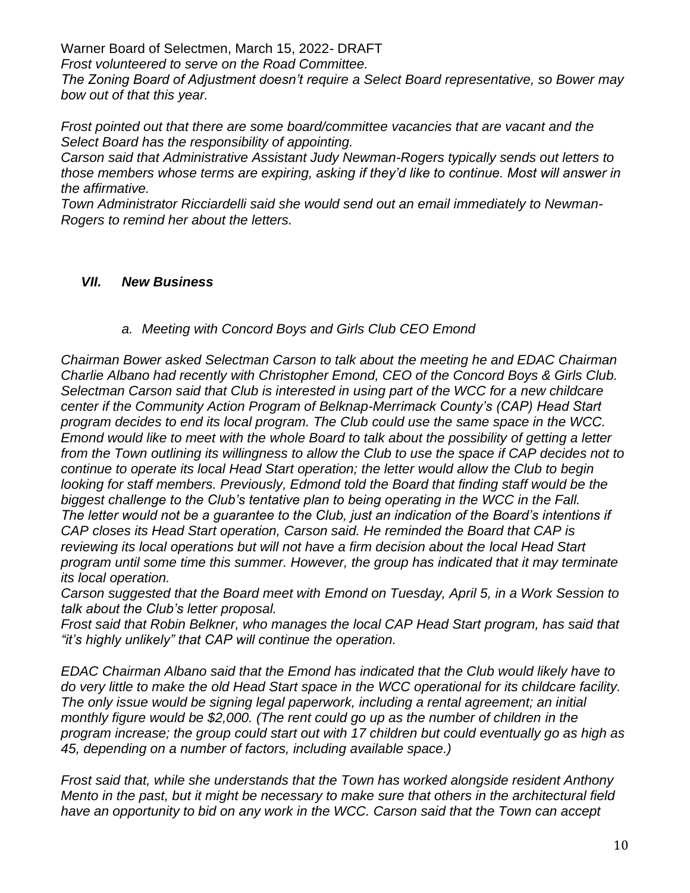*Frost volunteered to serve on the Road Committee.*

*The Zoning Board of Adjustment doesn't require a Select Board representative, so Bower may bow out of that this year.*

*Frost pointed out that there are some board/committee vacancies that are vacant and the Select Board has the responsibility of appointing.*

*Carson said that Administrative Assistant Judy Newman-Rogers typically sends out letters to those members whose terms are expiring, asking if they'd like to continue. Most will answer in the affirmative.*

*Town Administrator Ricciardelli said she would send out an email immediately to Newman-Rogers to remind her about the letters.*

### *VII. New Business*

*a. Meeting with Concord Boys and Girls Club CEO Emond*

*Chairman Bower asked Selectman Carson to talk about the meeting he and EDAC Chairman Charlie Albano had recently with Christopher Emond, CEO of the Concord Boys & Girls Club. Selectman Carson said that Club is interested in using part of the WCC for a new childcare center if the Community Action Program of Belknap-Merrimack County's (CAP) Head Start program decides to end its local program. The Club could use the same space in the WCC. Emond would like to meet with the whole Board to talk about the possibility of getting a letter from the Town outlining its willingness to allow the Club to use the space if CAP decides not to continue to operate its local Head Start operation; the letter would allow the Club to begin looking for staff members. Previously, Edmond told the Board that finding staff would be the biggest challenge to the Club's tentative plan to being operating in the WCC in the Fall. The letter would not be a guarantee to the Club, just an indication of the Board's intentions if CAP closes its Head Start operation, Carson said. He reminded the Board that CAP is reviewing its local operations but will not have a firm decision about the local Head Start program until some time this summer. However, the group has indicated that it may terminate its local operation.*

*Carson suggested that the Board meet with Emond on Tuesday, April 5, in a Work Session to talk about the Club's letter proposal.*

*Frost said that Robin Belkner, who manages the local CAP Head Start program, has said that "it's highly unlikely" that CAP will continue the operation.*

*EDAC Chairman Albano said that the Emond has indicated that the Club would likely have to do very little to make the old Head Start space in the WCC operational for its childcare facility. The only issue would be signing legal paperwork, including a rental agreement; an initial monthly figure would be \$2,000. (The rent could go up as the number of children in the program increase; the group could start out with 17 children but could eventually go as high as 45, depending on a number of factors, including available space.)*

*Frost said that, while she understands that the Town has worked alongside resident Anthony Mento in the past, but it might be necessary to make sure that others in the architectural field have an opportunity to bid on any work in the WCC. Carson said that the Town can accept*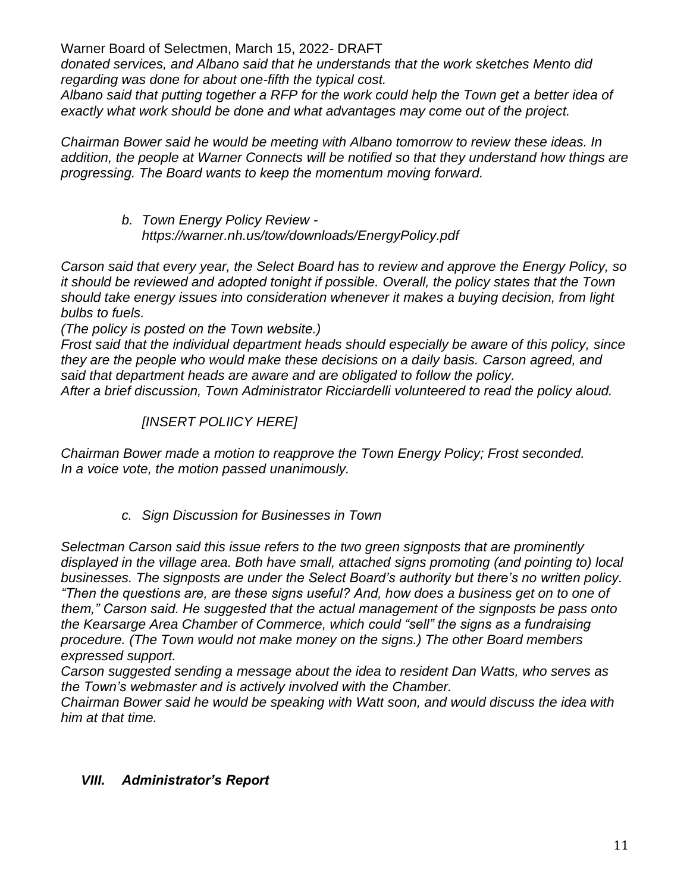*donated services, and Albano said that he understands that the work sketches Mento did regarding was done for about one-fifth the typical cost.*

*Albano said that putting together a RFP for the work could help the Town get a better idea of exactly what work should be done and what advantages may come out of the project.*

*Chairman Bower said he would be meeting with Albano tomorrow to review these ideas. In addition, the people at Warner Connects will be notified so that they understand how things are progressing. The Board wants to keep the momentum moving forward.*

> *b. Town Energy Policy Review https://warner.nh.us/tow/downloads/EnergyPolicy.pdf*

*Carson said that every year, the Select Board has to review and approve the Energy Policy, so it should be reviewed and adopted tonight if possible. Overall, the policy states that the Town should take energy issues into consideration whenever it makes a buying decision, from light bulbs to fuels.*

*(The policy is posted on the Town website.)*

*Frost said that the individual department heads should especially be aware of this policy, since they are the people who would make these decisions on a daily basis. Carson agreed, and said that department heads are aware and are obligated to follow the policy.*

*After a brief discussion, Town Administrator Ricciardelli volunteered to read the policy aloud.*

# *[INSERT POLIICY HERE]*

*Chairman Bower made a motion to reapprove the Town Energy Policy; Frost seconded. In a voice vote, the motion passed unanimously.*

*c. Sign Discussion for Businesses in Town*

*Selectman Carson said this issue refers to the two green signposts that are prominently displayed in the village area. Both have small, attached signs promoting (and pointing to) local businesses. The signposts are under the Select Board's authority but there's no written policy. "Then the questions are, are these signs useful? And, how does a business get on to one of them," Carson said. He suggested that the actual management of the signposts be pass onto the Kearsarge Area Chamber of Commerce, which could "sell" the signs as a fundraising procedure. (The Town would not make money on the signs.) The other Board members expressed support.*

*Carson suggested sending a message about the idea to resident Dan Watts, who serves as the Town's webmaster and is actively involved with the Chamber.*

*Chairman Bower said he would be speaking with Watt soon, and would discuss the idea with him at that time.*

# *VIII. Administrator's Report*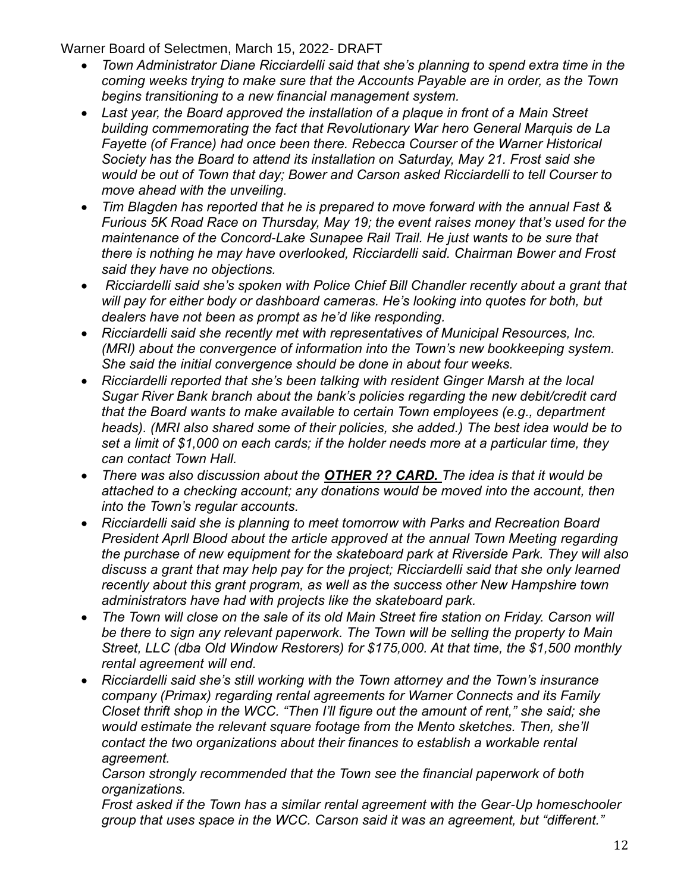- *Town Administrator Diane Ricciardelli said that she's planning to spend extra time in the coming weeks trying to make sure that the Accounts Payable are in order, as the Town begins transitioning to a new financial management system.*
- *Last year, the Board approved the installation of a plaque in front of a Main Street building commemorating the fact that Revolutionary War hero General Marquis de La Fayette (of France) had once been there. Rebecca Courser of the Warner Historical Society has the Board to attend its installation on Saturday, May 21. Frost said she would be out of Town that day; Bower and Carson asked Ricciardelli to tell Courser to move ahead with the unveiling.*
- *Tim Blagden has reported that he is prepared to move forward with the annual Fast & Furious 5K Road Race on Thursday, May 19; the event raises money that's used for the maintenance of the Concord-Lake Sunapee Rail Trail. He just wants to be sure that there is nothing he may have overlooked, Ricciardelli said. Chairman Bower and Frost said they have no objections.*
- *Ricciardelli said she's spoken with Police Chief Bill Chandler recently about a grant that will pay for either body or dashboard cameras. He's looking into quotes for both, but dealers have not been as prompt as he'd like responding.*
- *Ricciardelli said she recently met with representatives of Municipal Resources, Inc. (MRI) about the convergence of information into the Town's new bookkeeping system. She said the initial convergence should be done in about four weeks.*
- *Ricciardelli reported that she's been talking with resident Ginger Marsh at the local Sugar River Bank branch about the bank's policies regarding the new debit/credit card that the Board wants to make available to certain Town employees (e.g., department heads). (MRI also shared some of their policies, she added.) The best idea would be to set a limit of \$1,000 on each cards; if the holder needs more at a particular time, they can contact Town Hall.*
- *There was also discussion about the OTHER ?? CARD. The idea is that it would be attached to a checking account; any donations would be moved into the account, then into the Town's regular accounts.*
- *Ricciardelli said she is planning to meet tomorrow with Parks and Recreation Board President Aprll Blood about the article approved at the annual Town Meeting regarding the purchase of new equipment for the skateboard park at Riverside Park. They will also discuss a grant that may help pay for the project; Ricciardelli said that she only learned recently about this grant program, as well as the success other New Hampshire town administrators have had with projects like the skateboard park.*
- *The Town will close on the sale of its old Main Street fire station on Friday. Carson will be there to sign any relevant paperwork. The Town will be selling the property to Main Street, LLC (dba Old Window Restorers) for \$175,000. At that time, the \$1,500 monthly rental agreement will end.*
- *Ricciardelli said she's still working with the Town attorney and the Town's insurance company (Primax) regarding rental agreements for Warner Connects and its Family Closet thrift shop in the WCC. "Then I'll figure out the amount of rent," she said; she would estimate the relevant square footage from the Mento sketches. Then, she'll contact the two organizations about their finances to establish a workable rental agreement.*

*Carson strongly recommended that the Town see the financial paperwork of both organizations.*

*Frost asked if the Town has a similar rental agreement with the Gear-Up homeschooler group that uses space in the WCC. Carson said it was an agreement, but "different."*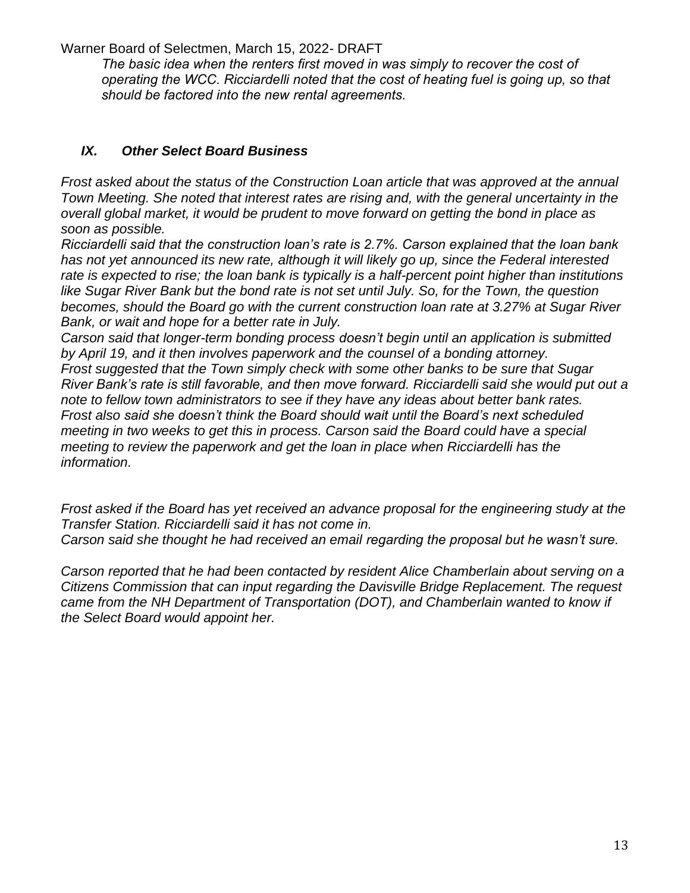The basic idea when the renters first moved in was simply to recover the cost of *operating the WCC. Ricciardelli noted that the cost of heating fuel is going up, so that should be factored into the new rental agreements.*

## *IX. Other Select Board Business*

*Frost asked about the status of the Construction Loan article that was approved at the annual Town Meeting. She noted that interest rates are rising and, with the general uncertainty in the overall global market, it would be prudent to move forward on getting the bond in place as soon as possible.*

*Ricciardelli said that the construction loan's rate is 2.7%. Carson explained that the loan bank has not yet announced its new rate, although it will likely go up, since the Federal interested rate is expected to rise; the loan bank is typically is a half-percent point higher than institutions like Sugar River Bank but the bond rate is not set until July. So, for the Town, the question becomes, should the Board go with the current construction loan rate at 3.27% at Sugar River Bank, or wait and hope for a better rate in July.*

*Carson said that longer-term bonding process doesn't begin until an application is submitted by April 19, and it then involves paperwork and the counsel of a bonding attorney. Frost suggested that the Town simply check with some other banks to be sure that Sugar River Bank's rate is still favorable, and then move forward. Ricciardelli said she would put out a note to fellow town administrators to see if they have any ideas about better bank rates. Frost also said she doesn't think the Board should wait until the Board's next scheduled meeting in two weeks to get this in process. Carson said the Board could have a special meeting to review the paperwork and get the loan in place when Ricciardelli has the information.*

*Frost asked if the Board has yet received an advance proposal for the engineering study at the Transfer Station. Ricciardelli said it has not come in.*

*Carson said she thought he had received an email regarding the proposal but he wasn't sure.*

*Carson reported that he had been contacted by resident Alice Chamberlain about serving on a Citizens Commission that can input regarding the Davisville Bridge Replacement. The request came from the NH Department of Transportation (DOT), and Chamberlain wanted to know if the Select Board would appoint her.*